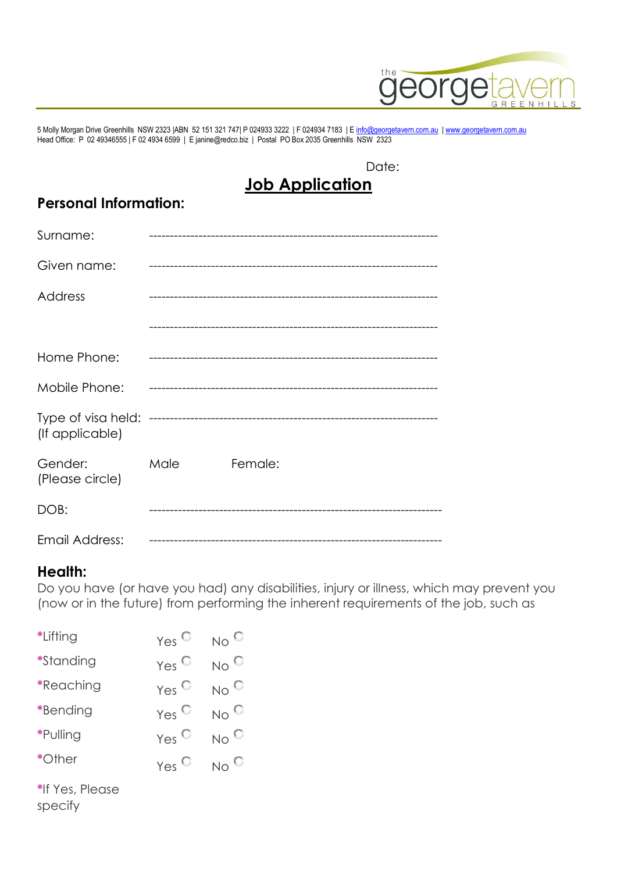

5 Molly Morgan Drive Greenhills NSW 2323 |ABN 52 151 321 747| P 024933 3222 | F 024934 7183 | [E info@georgetavern.com.au](mailto:info@georgetavern.com.au) [| www.georgetavern.com.au](http://www.georgetavern.com.au/) Head Office: P 02 49346555 | F 02 4934 6599 | E janine@redco.biz | Postal PO Box 2035 Greenhills NSW 2323

#### Date: **Job Application**

# **Personal Information:**

| Surname:                              |      |         |
|---------------------------------------|------|---------|
| Given name:                           |      |         |
| Address                               |      |         |
|                                       |      |         |
| Home Phone:                           |      |         |
| Mobile Phone:                         |      |         |
| Type of visa held:<br>(If applicable) |      |         |
| Gender:<br>(Please circle)            | Male | Female: |
| DOB:                                  |      |         |
| Email Address:                        |      |         |

### **Health:**

Do you have (or have you had) any disabilities, injury or illness, which may prevent you (now or in the future) from performing the inherent requirements of the job, such as

| *Lifting         | Yes $\heartsuit$   | No $^{\circ}$     |
|------------------|--------------------|-------------------|
| <i>*Standing</i> | $Yes^{\heartsuit}$ | No $^{\circ}$     |
| *Reaching        | $Yes^{\heartsuit}$ | No $^{\circ}$     |
| *Bending         | $Yes^{\heartsuit}$ | $No^{\mathbb{C}}$ |
| *Pulling         | Yes $\mathbb{C}$   | No $^\mathbb{C}$  |
| *Other           | $Yes^{\heartsuit}$ | No <sup>()</sup>  |
| *If Yes, Please  |                    |                   |

specify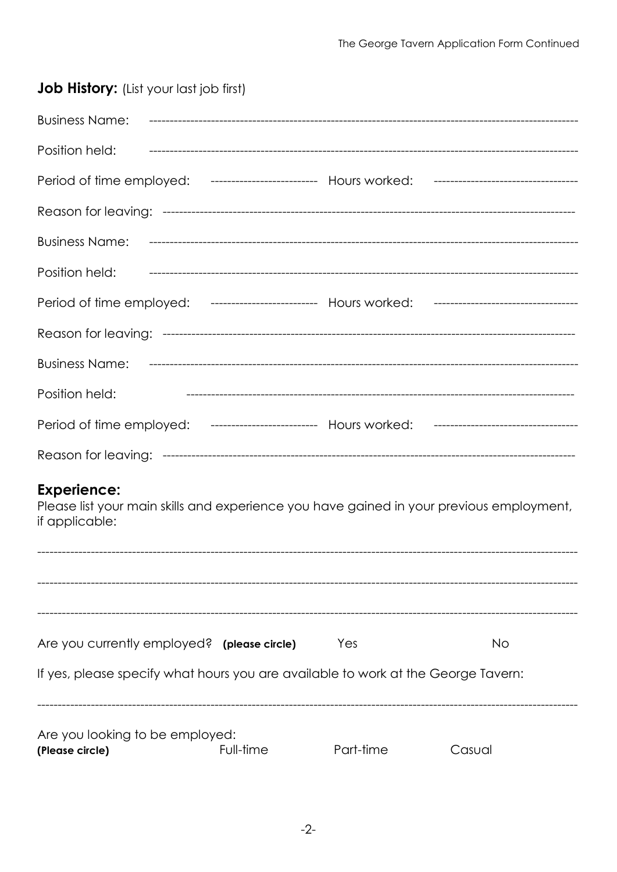| <b>Job History:</b> (List your last job first)                                                                                   |           |           |           |
|----------------------------------------------------------------------------------------------------------------------------------|-----------|-----------|-----------|
| Business Name: происходим подделённое нарушение с не на не на не на на на на начали подделя на не на не на не н                  |           |           |           |
| Position held: испосоверание поставление поставление поставление поставление поставление поставление поставлени                  |           |           |           |
| Period of time employed: ------------------------- Hours worked: ----------------------------------                              |           |           |           |
|                                                                                                                                  |           |           |           |
| Business Name: простоящее постоящее на не на не на не на не на не на не на не на не на не на не на не на не на                   |           |           |           |
| Position held:                                                                                                                   |           |           |           |
| Period of time employed: ------------------------- Hours worked: ----------------------------------                              |           |           |           |
|                                                                                                                                  |           |           |           |
|                                                                                                                                  |           |           |           |
| Position held:                                                                                                                   |           |           |           |
| Period of time employed: ------------------------- Hours worked: ----------------------------------                              |           |           |           |
|                                                                                                                                  |           |           |           |
| <b>Experience:</b><br>Please list your main skills and experience you have gained in your previous employment,<br>if applicable: |           |           |           |
|                                                                                                                                  |           |           |           |
|                                                                                                                                  |           |           |           |
| Are you currently employed? (please circle)                                                                                      |           | Yes       | <b>No</b> |
| If yes, please specify what hours you are available to work at the George Tavern:                                                |           |           |           |
| Are you looking to be employed:<br>(Please circle)                                                                               | Full-time | Part-time | Casual    |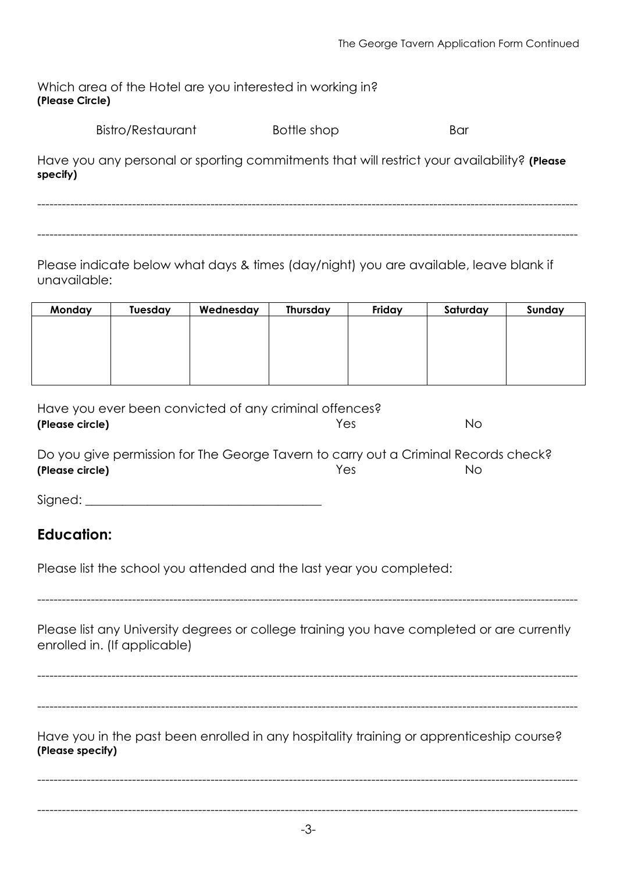| Which area of the Hotel are you interested in working in? |  |
|-----------------------------------------------------------|--|
| (Please Circle)                                           |  |

| Bistro/Restaurant | Bottle shop | Bar |
|-------------------|-------------|-----|
|                   |             |     |

Have you any personal or sporting commitments that will restrict your availability? **(Please specify)**

-----------------------------------------------------------------------------------------------------------------------------------

-----------------------------------------------------------------------------------------------------------------------------------

Please indicate below what days & times (day/night) you are available, leave blank if unavailable:

| Monday | Tuesday | Wednesday | Thursday | Friday | Saturday | Sunday |
|--------|---------|-----------|----------|--------|----------|--------|
|        |         |           |          |        |          |        |
|        |         |           |          |        |          |        |
|        |         |           |          |        |          |        |
|        |         |           |          |        |          |        |
|        |         |           |          |        |          |        |

| Have you ever been convicted of any criminal offences? |     |    |
|--------------------------------------------------------|-----|----|
| (Please circle)                                        | Yes | No |

| Do you give permission for The George Tavern to carry out a Criminal Records check? |      |     |
|-------------------------------------------------------------------------------------|------|-----|
| (Please circle)                                                                     | Yes. | No. |

| Signed: |  |
|---------|--|
|         |  |

## **Education:**

Please list the school you attended and the last year you completed:

Please list any University degrees or college training you have completed or are currently enrolled in. (If applicable)

-----------------------------------------------------------------------------------------------------------------------------------

----------------------------------------------------------------------------------------------------------------------------------- ----------------------------------------------------------------------------------------------------------------------------------- Have you in the past been enrolled in any hospitality training or apprenticeship course? **(Please specify)**

-----------------------------------------------------------------------------------------------------------------------------------